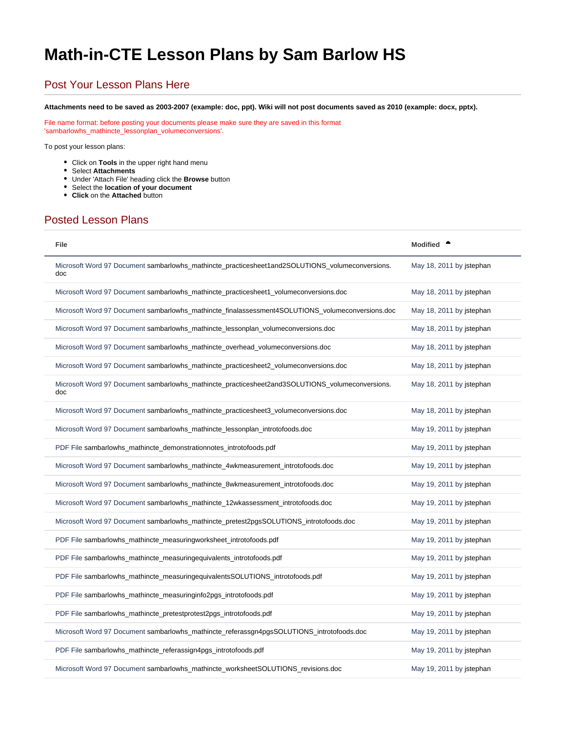## <span id="page-0-0"></span>**Math-in-CTE Lesson Plans by Sam Barlow HS**

## Post Your Lesson Plans Here

**Attachments need to be saved as 2003-2007 (example: doc, ppt). Wiki will not post documents saved as 2010 (example: docx, pptx).**

File name format: before posting your documents please make sure they are saved in this format 'sambarlowhs\_mathincte\_lessonplan\_volumeconversions'.

To post your lesson plans:

- Click on **Tools** in the upper right hand menu
- Select **Attachments**
- Under 'Attach File' heading click the **Browse** button
- Select the **location of your document**
- **Click** on the **Attached** button

## Posted Lesson Plans

| File                                                                                                   | <b>Modified</b>          |
|--------------------------------------------------------------------------------------------------------|--------------------------|
| Microsoft Word 97 Document sambarlowhs_mathincte_practicesheet1and2SOLUTIONS_volumeconversions.<br>doc | May 18, 2011 by jstephan |
| Microsoft Word 97 Document sambarlowhs_mathincte_practicesheet1_volumeconversions.doc                  | May 18, 2011 by jstephan |
| Microsoft Word 97 Document sambarlowhs_mathincte_finalassessment4SOLUTIONS_volumeconversions.doc       | May 18, 2011 by jstephan |
| Microsoft Word 97 Document sambarlowhs_mathincte_lessonplan_volumeconversions.doc                      | May 18, 2011 by istephan |
| Microsoft Word 97 Document sambarlowhs_mathincte_overhead_volumeconversions.doc                        | May 18, 2011 by jstephan |
| Microsoft Word 97 Document sambarlowhs_mathincte_practicesheet2_volumeconversions.doc                  | May 18, 2011 by istephan |
| Microsoft Word 97 Document sambarlowhs_mathincte_practicesheet2and3SOLUTIONS_volumeconversions.<br>doc | May 18, 2011 by jstephan |
| Microsoft Word 97 Document sambarlowhs_mathincte_practicesheet3_volumeconversions.doc                  | May 18, 2011 by jstephan |
| Microsoft Word 97 Document sambarlowhs_mathincte_lessonplan_introtofoods.doc                           | May 19, 2011 by jstephan |
| PDF File sambarlowhs_mathincte_demonstrationnotes_introtofoods.pdf                                     | May 19, 2011 by jstephan |
| Microsoft Word 97 Document sambarlowhs_mathincte_4wkmeasurement_introtofoods.doc                       | May 19, 2011 by jstephan |
| Microsoft Word 97 Document sambarlowhs_mathincte_8wkmeasurement_introtofoods.doc                       | May 19, 2011 by jstephan |
| Microsoft Word 97 Document sambarlowhs_mathincte_12wkassessment_introtofoods.doc                       | May 19, 2011 by jstephan |
| Microsoft Word 97 Document sambarlowhs_mathincte_pretest2pgsSOLUTIONS_introtofoods.doc                 | May 19, 2011 by jstephan |
| PDF File sambarlowhs_mathincte_measuringworksheet_introtofoods.pdf                                     | May 19, 2011 by jstephan |
| PDF File sambarlowhs_mathincte_measuringequivalents_introtofoods.pdf                                   | May 19, 2011 by jstephan |
| PDF File sambarlowhs_mathincte_measuringequivalentsSOLUTIONS_introtofoods.pdf                          | May 19, 2011 by jstephan |
| PDF File sambarlowhs_mathincte_measuringinfo2pgs_introtofoods.pdf                                      | May 19, 2011 by jstephan |
| PDF File sambarlowhs_mathincte_pretestprotest2pgs_introtofoods.pdf                                     | May 19, 2011 by jstephan |
| Microsoft Word 97 Document sambarlowhs_mathincte_referassgn4pgsSOLUTIONS_introtofoods.doc              | May 19, 2011 by jstephan |
| PDF File sambarlowhs_mathincte_referassign4pgs_introtofoods.pdf                                        | May 19, 2011 by jstephan |
| Microsoft Word 97 Document sambarlowhs_mathincte_worksheetSOLUTIONS_revisions.doc                      | May 19, 2011 by istephan |